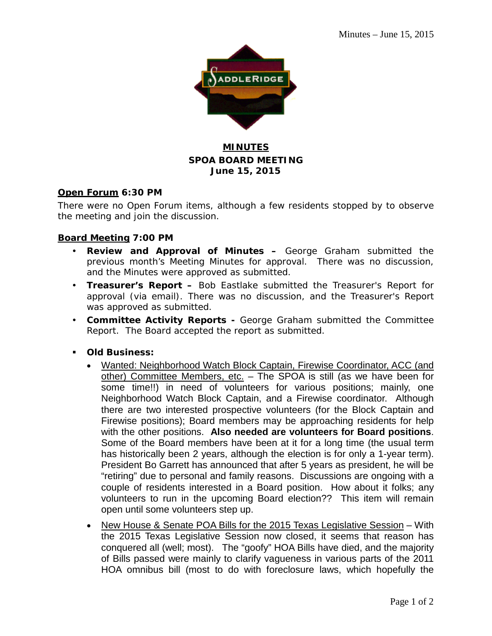

# **MINUTES SPOA BOARD MEETING June 15, 2015**

### **Open Forum 6:30 PM**

There were no Open Forum items, although a few residents stopped by to observe the meeting and join the discussion.

### **Board Meeting 7:00 PM**

- **Review and Approval of Minutes –** George Graham submitted the previous month's Meeting Minutes for approval. There was no discussion, and the Minutes were approved as submitted.
- **Treasurer's Report –** Bob Eastlake submitted the Treasurer's Report for approval (via email). There was no discussion, and the Treasurer's Report was approved as submitted.
- **Committee Activity Reports -** George Graham submitted the Committee Report. The Board accepted the report as submitted.
- **Old Business:**
	- Wanted: Neighborhood Watch Block Captain, Firewise Coordinator, ACC (and other) Committee Members, etc. - The SPOA is still (as we have been for some time!!) in need of volunteers for various positions; mainly, one Neighborhood Watch Block Captain, and a Firewise coordinator. Although there are two interested prospective volunteers (for the Block Captain and Firewise positions); Board members may be approaching residents for help with the other positions. **Also needed are volunteers for Board positions**. Some of the Board members have been at it for a long time (the usual term has historically been 2 years, although the election is for only a 1-year term). President Bo Garrett has announced that after 5 years as president, he will be "retiring" due to personal and family reasons. Discussions are ongoing with a couple of residents interested in a Board position. How about it folks; any volunteers to run in the upcoming Board election?? This item will remain open until some volunteers step up.
	- New House & Senate POA Bills for the 2015 Texas Legislative Session With the 2015 Texas Legislative Session now closed, it seems that reason has conquered all (well; most). The "goofy" HOA Bills have died, and the majority of Bills passed were mainly to clarify vagueness in various parts of the 2011 HOA omnibus bill (most to do with foreclosure laws, which hopefully the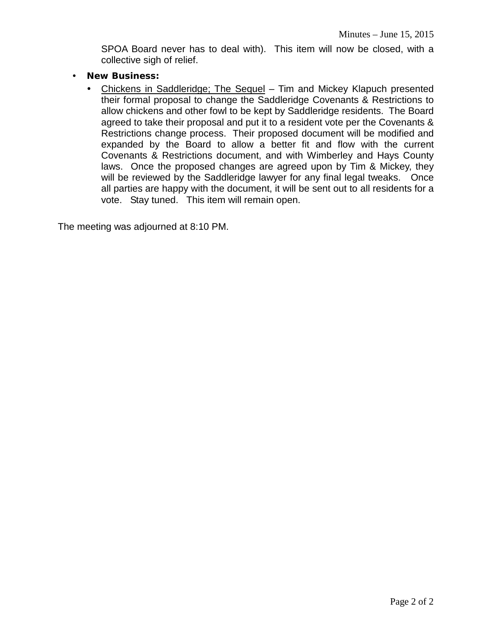SPOA Board never has to deal with). This item will now be closed, with a collective sigh of relief.

- **New Business:**
	- Chickens in Saddleridge; The Sequel Tim and Mickey Klapuch presented their formal proposal to change the Saddleridge Covenants & Restrictions to allow chickens and other fowl to be kept by Saddleridge residents. The Board agreed to take their proposal and put it to a resident vote per the Covenants & Restrictions change process. Their proposed document will be modified and expanded by the Board to allow a better fit and flow with the current Covenants & Restrictions document, and with Wimberley and Hays County laws. Once the proposed changes are agreed upon by Tim & Mickey, they will be reviewed by the Saddleridge lawyer for any final legal tweaks. Once all parties are happy with the document, it will be sent out to all residents for a vote. Stay tuned. This item will remain open.

The meeting was adjourned at 8:10 PM.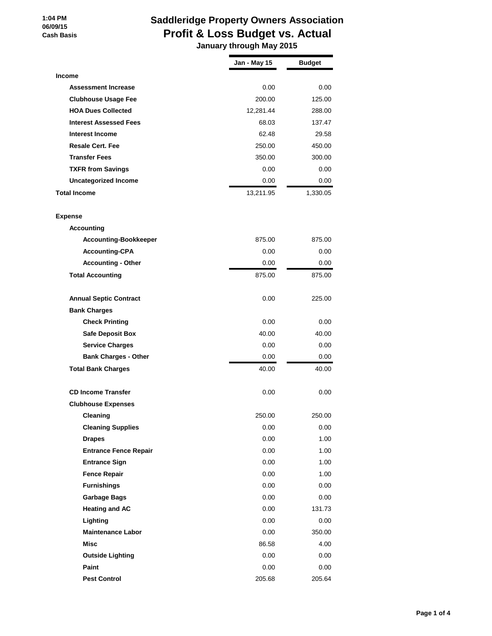#### **1:04 PM 06/09/15 Cash Basis**

# **Saddleridge Property Owners Association Profit & Loss Budget vs. Actual**

 **January through May 2015**

|                               | <b>Jan - May 15</b> | <b>Budget</b> |
|-------------------------------|---------------------|---------------|
| Income                        |                     |               |
| <b>Assessment Increase</b>    | 0.00                | 0.00          |
| <b>Clubhouse Usage Fee</b>    | 200.00              | 125.00        |
| <b>HOA Dues Collected</b>     | 12,281.44           | 288.00        |
| <b>Interest Assessed Fees</b> | 68.03               | 137.47        |
| <b>Interest Income</b>        | 62.48               | 29.58         |
| <b>Resale Cert. Fee</b>       | 250.00              | 450.00        |
| <b>Transfer Fees</b>          | 350.00              | 300.00        |
| <b>TXFR from Savings</b>      | 0.00                | 0.00          |
| <b>Uncategorized Income</b>   | 0.00                | 0.00          |
| Total Income                  | 13,211.95           | 1,330.05      |
| Expense                       |                     |               |
| <b>Accounting</b>             |                     |               |
| <b>Accounting-Bookkeeper</b>  | 875.00              | 875.00        |
| <b>Accounting-CPA</b>         | 0.00                | 0.00          |
| <b>Accounting - Other</b>     | 0.00                | 0.00          |
| <b>Total Accounting</b>       | 875.00              | 875.00        |
| <b>Annual Septic Contract</b> | 0.00                | 225.00        |
| <b>Bank Charges</b>           |                     |               |
| <b>Check Printing</b>         | 0.00                | 0.00          |
| <b>Safe Deposit Box</b>       | 40.00               | 40.00         |
| <b>Service Charges</b>        | 0.00                | 0.00          |
| <b>Bank Charges - Other</b>   | 0.00                | 0.00          |
| <b>Total Bank Charges</b>     | 40.00               | 40.00         |
| <b>CD Income Transfer</b>     | 0.00                | 0.00          |
| <b>Clubhouse Expenses</b>     |                     |               |
| Cleaning                      | 250.00              | 250.00        |
| <b>Cleaning Supplies</b>      | 0.00                | 0.00          |
| <b>Drapes</b>                 | 0.00                | 1.00          |
| <b>Entrance Fence Repair</b>  | 0.00                | 1.00          |
| <b>Entrance Sign</b>          | 0.00                | 1.00          |
| <b>Fence Repair</b>           | 0.00                | 1.00          |
| <b>Furnishings</b>            | 0.00                | 0.00          |
| <b>Garbage Bags</b>           | 0.00                | 0.00          |
| <b>Heating and AC</b>         | 0.00                | 131.73        |
| Lighting                      | 0.00                | 0.00          |
| <b>Maintenance Labor</b>      | 0.00                | 350.00        |
| Misc                          | 86.58               | 4.00          |
| <b>Outside Lighting</b>       | 0.00                | 0.00          |
| Paint                         | 0.00                | 0.00          |
| <b>Pest Control</b>           | 205.68              | 205.64        |
|                               |                     |               |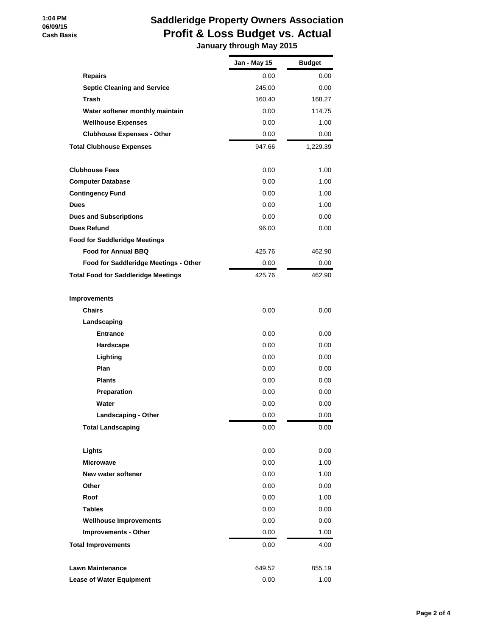### **1:04 PM 06/09/15 Cash Basis**

# **Saddleridge Property Owners Association Profit & Loss Budget vs. Actual January through May 2015**

|                                            | Jan - May 15 | <b>Budget</b> |
|--------------------------------------------|--------------|---------------|
| <b>Repairs</b>                             | 0.00         | 0.00          |
| <b>Septic Cleaning and Service</b>         | 245.00       | 0.00          |
| <b>Trash</b>                               | 160.40       | 168.27        |
| Water softener monthly maintain            | 0.00         | 114.75        |
| <b>Wellhouse Expenses</b>                  | 0.00         | 1.00          |
| <b>Clubhouse Expenses - Other</b>          | 0.00         | 0.00          |
| <b>Total Clubhouse Expenses</b>            | 947.66       | 1,229.39      |
| <b>Clubhouse Fees</b>                      | 0.00         | 1.00          |
| <b>Computer Database</b>                   | 0.00         | 1.00          |
| <b>Contingency Fund</b>                    | 0.00         | 1.00          |
| <b>Dues</b>                                | 0.00         | 1.00          |
| <b>Dues and Subscriptions</b>              | 0.00         | 0.00          |
| <b>Dues Refund</b>                         | 96.00        | 0.00          |
| <b>Food for Saddleridge Meetings</b>       |              |               |
| <b>Food for Annual BBQ</b>                 | 425.76       | 462.90        |
| Food for Saddleridge Meetings - Other      | 0.00         | 0.00          |
| <b>Total Food for Saddleridge Meetings</b> | 425.76       | 462.90        |
| <b>Improvements</b>                        |              |               |
| <b>Chairs</b>                              | 0.00         | 0.00          |
| Landscaping                                |              |               |
| <b>Entrance</b>                            | 0.00         | 0.00          |
| Hardscape                                  | 0.00         | 0.00          |
| Lighting                                   | 0.00         | 0.00          |
| Plan                                       | 0.00         | 0.00          |
| <b>Plants</b>                              | 0.00         | 0.00          |
| Preparation                                | 0.00         | 0.00          |
| Water                                      | 0.00         | 0.00          |
| Landscaping - Other                        | 0.00         | 0.00          |
| <b>Total Landscaping</b>                   | 0.00         | 0.00          |
| Lights                                     | 0.00         | 0.00          |
| <b>Microwave</b>                           | 0.00         | 1.00          |
| New water softener                         | 0.00         | 1.00          |
| Other                                      | 0.00         | 0.00          |
| Roof                                       | 0.00         | 1.00          |
| <b>Tables</b>                              | 0.00         | 0.00          |
| <b>Wellhouse Improvements</b>              | 0.00         | 0.00          |
| <b>Improvements - Other</b>                | 0.00         | 1.00          |
| <b>Total Improvements</b>                  | 0.00         | 4.00          |
| <b>Lawn Maintenance</b>                    | 649.52       | 855.19        |
| <b>Lease of Water Equipment</b>            | 0.00         | 1.00          |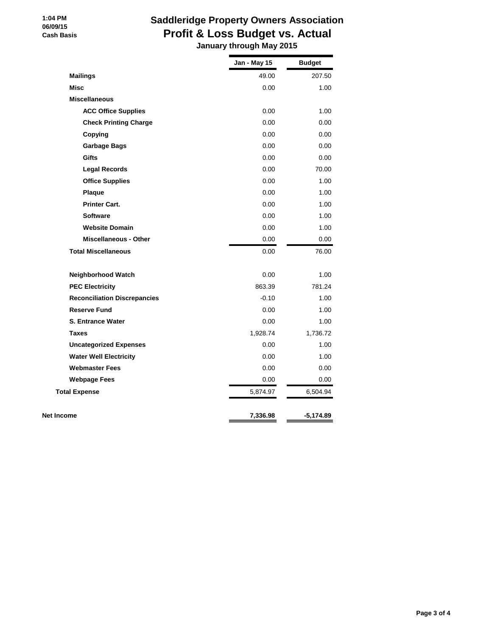### **1:04 PM 06/09/15 Cash Basis**

# **Saddleridge Property Owners Association Profit & Loss Budget vs. Actual**

 **January through May 2015**

|                                     | Jan - May 15 | <b>Budget</b> |
|-------------------------------------|--------------|---------------|
| <b>Mailings</b>                     | 49.00        | 207.50        |
| <b>Misc</b>                         | 0.00         | 1.00          |
| <b>Miscellaneous</b>                |              |               |
| <b>ACC Office Supplies</b>          | 0.00         | 1.00          |
| <b>Check Printing Charge</b>        | 0.00         | 0.00          |
| Copying                             | 0.00         | 0.00          |
| <b>Garbage Bags</b>                 | 0.00         | 0.00          |
| <b>Gifts</b>                        | 0.00         | 0.00          |
| <b>Legal Records</b>                | 0.00         | 70.00         |
| <b>Office Supplies</b>              | 0.00         | 1.00          |
| Plaque                              | 0.00         | 1.00          |
| <b>Printer Cart.</b>                | 0.00         | 1.00          |
| <b>Software</b>                     | 0.00         | 1.00          |
| <b>Website Domain</b>               | 0.00         | 1.00          |
| <b>Miscellaneous - Other</b>        | 0.00         | 0.00          |
| <b>Total Miscellaneous</b>          | 0.00         | 76.00         |
| Neighborhood Watch                  | 0.00         | 1.00          |
| <b>PEC Electricity</b>              | 863.39       | 781.24        |
| <b>Reconciliation Discrepancies</b> | $-0.10$      | 1.00          |
| <b>Reserve Fund</b>                 | 0.00         | 1.00          |
| <b>S. Entrance Water</b>            | 0.00         | 1.00          |
| <b>Taxes</b>                        | 1,928.74     | 1,736.72      |
| <b>Uncategorized Expenses</b>       | 0.00         | 1.00          |
| <b>Water Well Electricity</b>       | 0.00         | 1.00          |
| <b>Webmaster Fees</b>               | 0.00         | 0.00          |
| <b>Webpage Fees</b>                 | 0.00         | 0.00          |
| <b>Total Expense</b>                | 5,874.97     | 6,504.94      |
| Net Income                          | 7,336.98     | -5,174.89     |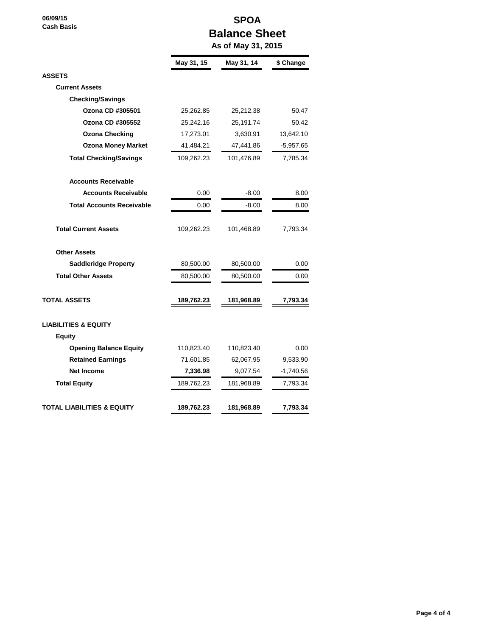**06/09/15 Cash Basis**

## **SPOA Balance Sheet As of May 31, 2015**

|                                  | May 31, 15 | May 31, 14 | \$ Change   |
|----------------------------------|------------|------------|-------------|
| <b>ASSETS</b>                    |            |            |             |
| <b>Current Assets</b>            |            |            |             |
| <b>Checking/Savings</b>          |            |            |             |
| Ozona CD #305501                 | 25,262.85  | 25,212.38  | 50.47       |
| Ozona CD #305552                 | 25,242.16  | 25,191.74  | 50.42       |
| <b>Ozona Checking</b>            | 17,273.01  | 3,630.91   | 13,642.10   |
| <b>Ozona Money Market</b>        | 41,484.21  | 47,441.86  | $-5,957.65$ |
| <b>Total Checking/Savings</b>    | 109,262.23 | 101,476.89 | 7,785.34    |
| <b>Accounts Receivable</b>       |            |            |             |
| <b>Accounts Receivable</b>       | 0.00       | $-8.00$    | 8.00        |
| <b>Total Accounts Receivable</b> | 0.00       | $-8.00$    | 8.00        |
| <b>Total Current Assets</b>      | 109,262.23 | 101,468.89 | 7,793.34    |
| <b>Other Assets</b>              |            |            |             |
| <b>Saddleridge Property</b>      | 80,500.00  | 80,500.00  | 0.00        |
| <b>Total Other Assets</b>        | 80,500.00  | 80,500.00  | 0.00        |
| TOTAL ASSETS                     | 189,762.23 | 181,968.89 | 7,793.34    |
| <b>LIABILITIES &amp; EQUITY</b>  |            |            |             |
| <b>Equity</b>                    |            |            |             |
| <b>Opening Balance Equity</b>    | 110,823.40 | 110,823.40 | 0.00        |
| <b>Retained Earnings</b>         | 71,601.85  | 62,067.95  | 9,533.90    |
| <b>Net Income</b>                | 7,336.98   | 9,077.54   | $-1,740.56$ |
| <b>Total Equity</b>              | 189,762.23 | 181,968.89 | 7,793.34    |
| TOTAL LIABILITIES & EQUITY       | 189,762.23 | 181,968.89 | 7,793.34    |